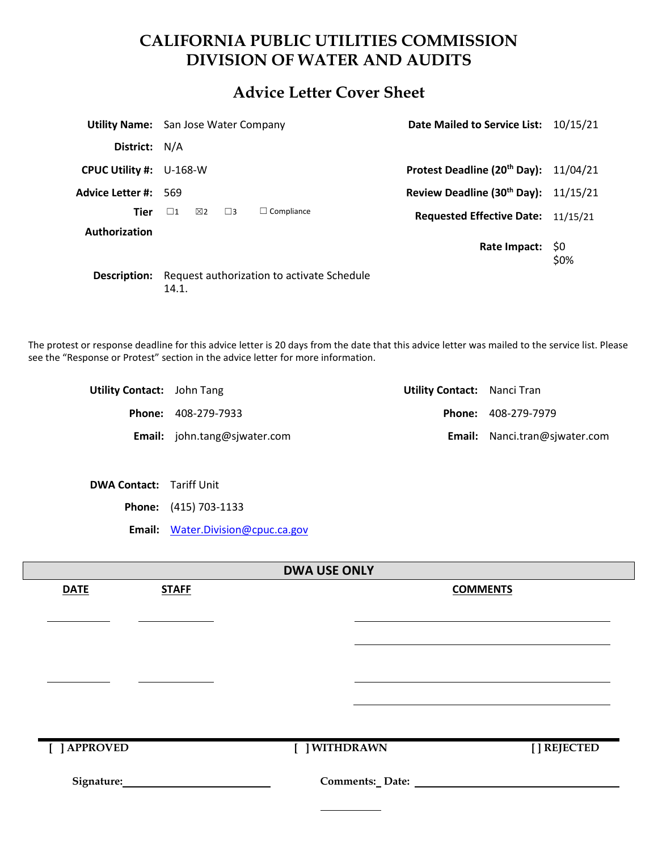# **CALIFORNIA PUBLIC UTILITIES COMMISSION DIVISION OF WATER AND AUDITS**

## **Advice Letter Cover Sheet**

|                                | <b>Utility Name:</b> San Jose Water Company         |                   | Date Mailed to Service List: 10/15/21             |            |
|--------------------------------|-----------------------------------------------------|-------------------|---------------------------------------------------|------------|
| District: N/A                  |                                                     |                   |                                                   |            |
| <b>CPUC Utility #: U-168-W</b> |                                                     |                   | Protest Deadline (20 <sup>th</sup> Day): 11/04/21 |            |
| <b>Advice Letter #: 569</b>    |                                                     |                   | Review Deadline (30th Day): $11/15/21$            |            |
| <b>Tier</b>                    | $\boxtimes$ 2<br>$\square$ 1<br>$\Box$ 3            | $\Box$ Compliance | <b>Requested Effective Date:</b> 11/15/21         |            |
| Authorization                  |                                                     |                   | Rate Impact:                                      | S0<br>\$0% |
| Description:                   | Request authorization to activate Schedule<br>14.1. |                   |                                                   |            |

The protest or response deadline for this advice letter is 20 days from the date that this advice letter was mailed to the service list. Please see the "Response or Protest" section in the advice letter for more information.

| <b>Utility Contact:</b> John Tang |                                            | <b>Utility Contact:</b> Nanci Tran |                                      |
|-----------------------------------|--------------------------------------------|------------------------------------|--------------------------------------|
|                                   | <b>Phone: 408-279-7933</b>                 |                                    | <b>Phone: 408-279-7979</b>           |
|                                   | <b>Email:</b> $\phi$ john.tang@sjwater.com |                                    | <b>Email:</b> Nanci.tran@sjwater.com |

**DWA Contact:** Tariff Unit

**Phone:** (415) 703-1133

**Email:** [Water.Division@cpuc.ca.gov](mailto:Water.Division@cpuc.ca.gov)

| <b>DWA USE ONLY</b> |              |               |  |                 |
|---------------------|--------------|---------------|--|-----------------|
| <b>DATE</b>         | <b>STAFF</b> |               |  | <b>COMMENTS</b> |
|                     |              |               |  |                 |
|                     |              |               |  |                 |
|                     |              |               |  |                 |
|                     |              |               |  |                 |
|                     |              |               |  |                 |
|                     |              |               |  |                 |
|                     |              |               |  |                 |
|                     |              |               |  |                 |
| [ ] APPROVED        |              | [ ] WITHDRAWN |  | [] REJECTED     |
|                     |              |               |  |                 |
|                     |              |               |  |                 |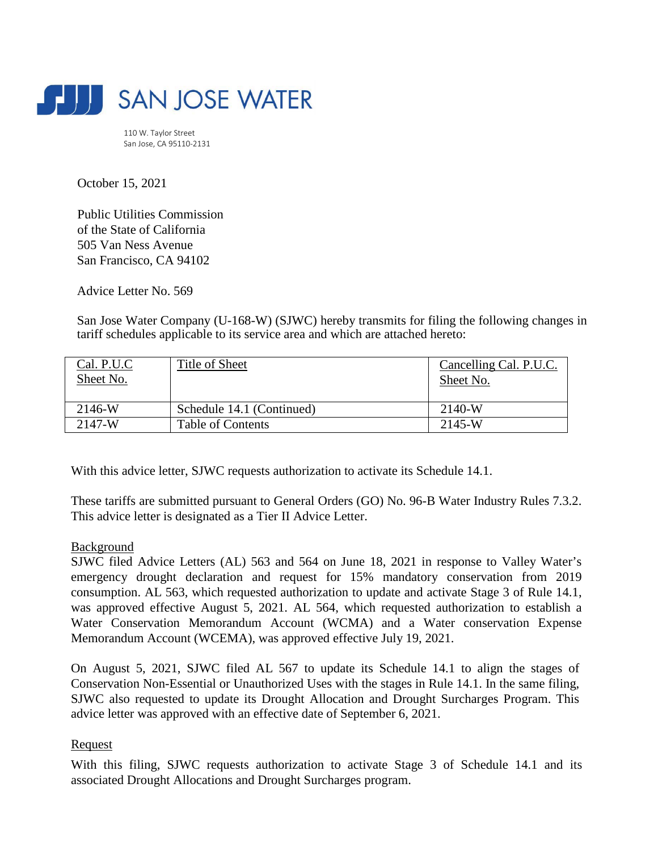

110 W. Taylor Street San Jose, CA 95110-2131



Public Utilities Commission of the State of California 505 Van Ness Avenue San Francisco, CA 94102

Advice Letter No. 569

San Jose Water Company (U-168-W) (SJWC) hereby transmits for filing the following changes in tariff schedules applicable to its service area and which are attached hereto:

OCT 15 2021

PUBLIC UTILITIES COMMISSION **WATER DIVISION** 

FILED

| Cal. P.U.C<br>Sheet No. | Title of Sheet            | Cancelling Cal. P.U.C.<br>Sheet No. |
|-------------------------|---------------------------|-------------------------------------|
| 2146-W                  | Schedule 14.1 (Continued) | $2140-W$                            |
| 2147-W                  | <b>Table of Contents</b>  | 2145-W                              |

With this advice letter, SJWC requests authorization to activate its Schedule 14.1.

These tariffs are submitted pursuant to General Orders (GO) No. 96-B Water Industry Rules 7.3.2. This advice letter is designated as a Tier II Advice Letter.

## Background

SJWC filed Advice Letters (AL) 563 and 564 on June 18, 2021 in response to Valley Water's emergency drought declaration and request for 15% mandatory conservation from 2019 consumption. AL 563, which requested authorization to update and activate Stage 3 of Rule 14.1, was approved effective August 5, 2021. AL 564, which requested authorization to establish a Water Conservation Memorandum Account (WCMA) and a Water conservation Expense Memorandum Account (WCEMA), was approved effective July 19, 2021.

On August 5, 2021, SJWC filed AL 567 to update its Schedule 14.1 to align the stages of Conservation Non-Essential or Unauthorized Uses with the stages in Rule 14.1. In the same filing, SJWC also requested to update its Drought Allocation and Drought Surcharges Program. This advice letter was approved with an effective date of September 6, 2021.

## Request

With this filing, SJWC requests authorization to activate Stage 3 of Schedule 14.1 and its associated Drought Allocations and Drought Surcharges program.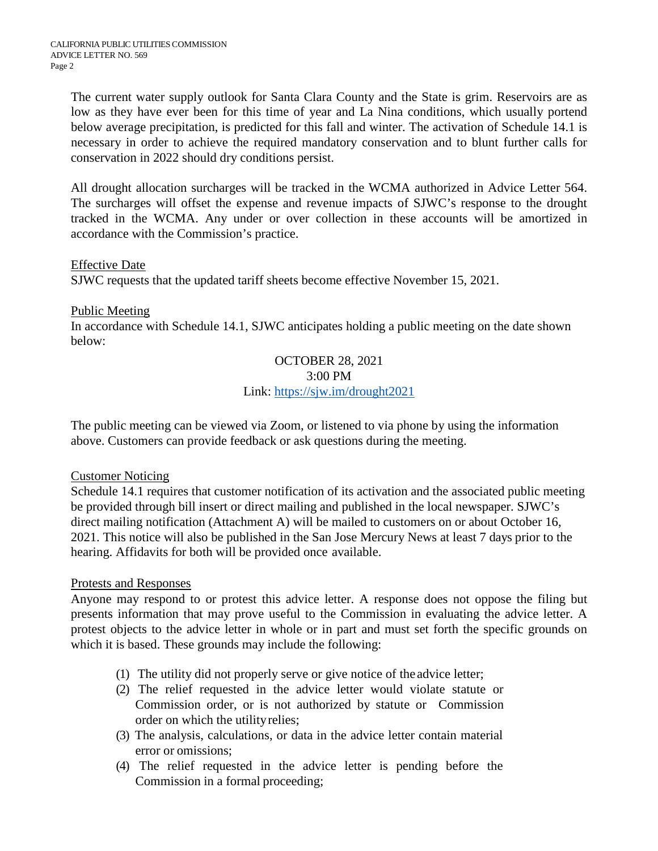The current water supply outlook for Santa Clara County and the State is grim. Reservoirs are as low as they have ever been for this time of year and La Nina conditions, which usually portend below average precipitation, is predicted for this fall and winter. The activation of Schedule 14.1 is necessary in order to achieve the required mandatory conservation and to blunt further calls for conservation in 2022 should dry conditions persist.

All drought allocation surcharges will be tracked in the WCMA authorized in Advice Letter 564. The surcharges will offset the expense and revenue impacts of SJWC's response to the drought tracked in the WCMA. Any under or over collection in these accounts will be amortized in accordance with the Commission's practice.

## Effective Date

SJWC requests that the updated tariff sheets become effective November 15, 2021.

## Public Meeting

In accordance with Schedule 14.1, SJWC anticipates holding a public meeting on the date shown below:

### OCTOBER 28, 2021 3:00 PM Link: [https://sjw.im/drought2021](https://protect-us.mimecast.com/s/KIAPClYvM6i27g9otGpi7K?domain=sjw.im)

The public meeting can be viewed via Zoom, or listened to via phone by using the information above. Customers can provide feedback or ask questions during the meeting.

## Customer Noticing

Schedule 14.1 requires that customer notification of its activation and the associated public meeting be provided through bill insert or direct mailing and published in the local newspaper. SJWC's direct mailing notification (Attachment A) will be mailed to customers on or about October 16, 2021. This notice will also be published in the San Jose Mercury News at least 7 days prior to the hearing. Affidavits for both will be provided once available.

## Protests and Responses

Anyone may respond to or protest this advice letter. A response does not oppose the filing but presents information that may prove useful to the Commission in evaluating the advice letter. A protest objects to the advice letter in whole or in part and must set forth the specific grounds on which it is based. These grounds may include the following:

- (1) The utility did not properly serve or give notice of the advice letter;
- (2) The relief requested in the advice letter would violate statute or Commission order, or is not authorized by statute or Commission order on which the utilityrelies;
- (3) The analysis, calculations, or data in the advice letter contain material error or omissions;
- (4) The relief requested in the advice letter is pending before the Commission in a formal proceeding;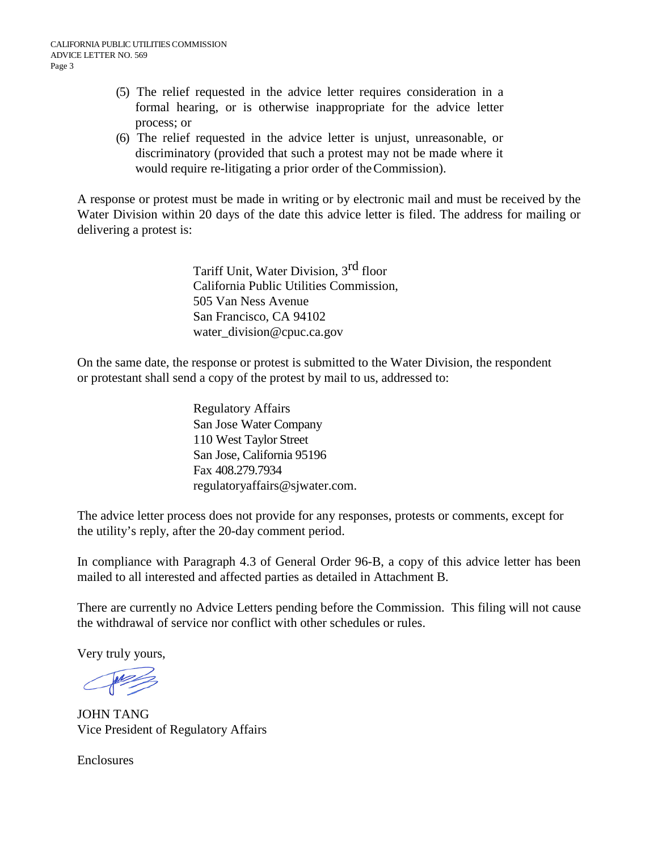- (5) The relief requested in the advice letter requires consideration in a formal hearing, or is otherwise inappropriate for the advice letter process; or
- (6) The relief requested in the advice letter is unjust, unreasonable, or discriminatory (provided that such a protest may not be made where it would require re-litigating a prior order of theCommission).

A response or protest must be made in writing or by electronic mail and must be received by the Water Division within 20 days of the date this advice letter is filed. The address for mailing or delivering a protest is:

> Tariff Unit, Water Division, 3rd floor California Public Utilities Commission, 505 Van Ness Avenue San Francisco, CA 94102 [water\\_division@cpuc.ca.gov](mailto:water_division@cpuc.ca.gov)

On the same date, the response or protest is submitted to the Water Division, the respondent or protestant shall send a copy of the protest by mail to us, addressed to:

> Regulatory Affairs San Jose Water Company 110 West Taylor Street San Jose, California 95196 Fax 408.279.7934 [regulatoryaffairs@sjwater.com.](mailto:regulatoryaffairs@sjwater.com)

The advice letter process does not provide for any responses, protests or comments, except for the utility's reply, after the 20-day comment period.

In compliance with Paragraph 4.3 of General Order 96-B, a copy of this advice letter has been mailed to all interested and affected parties as detailed in Attachment B.

There are currently no Advice Letters pending before the Commission. This filing will not cause the withdrawal of service nor conflict with other schedules or rules.

Very truly yours,

JOHN TANG Vice President of Regulatory Affairs

**Enclosures**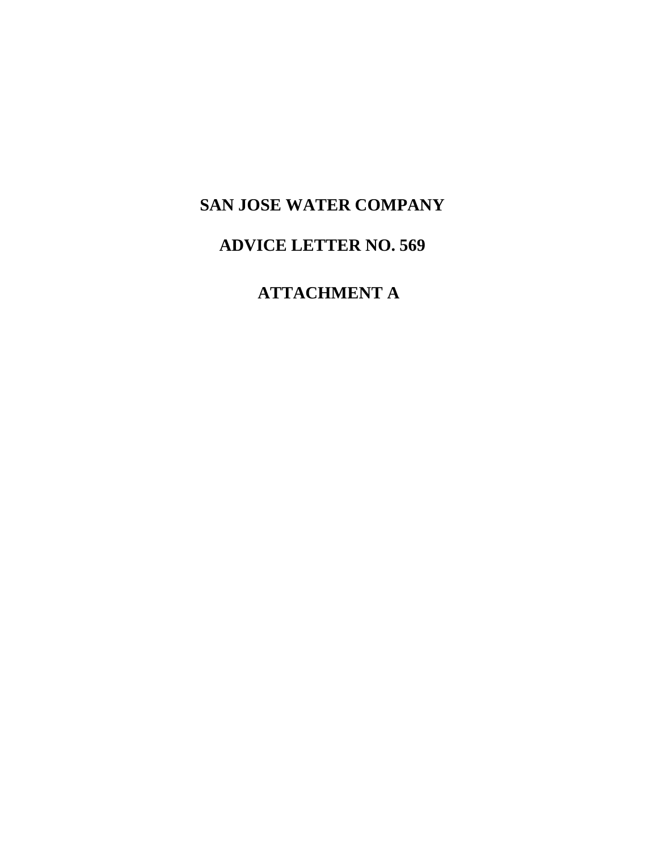# **SAN JOSE WATER COMPANY**

# **ADVICE LETTER NO. 569**

# **ATTACHMENT A**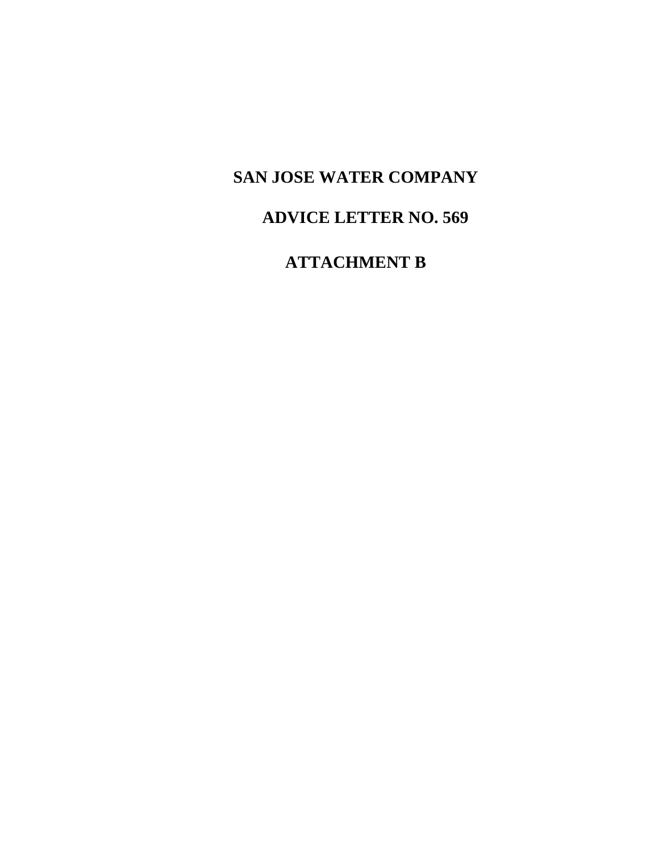# **SAN JOSE WATER COMPANY**

# **ADVICE LETTER NO. 569**

# **ATTACHMENT B**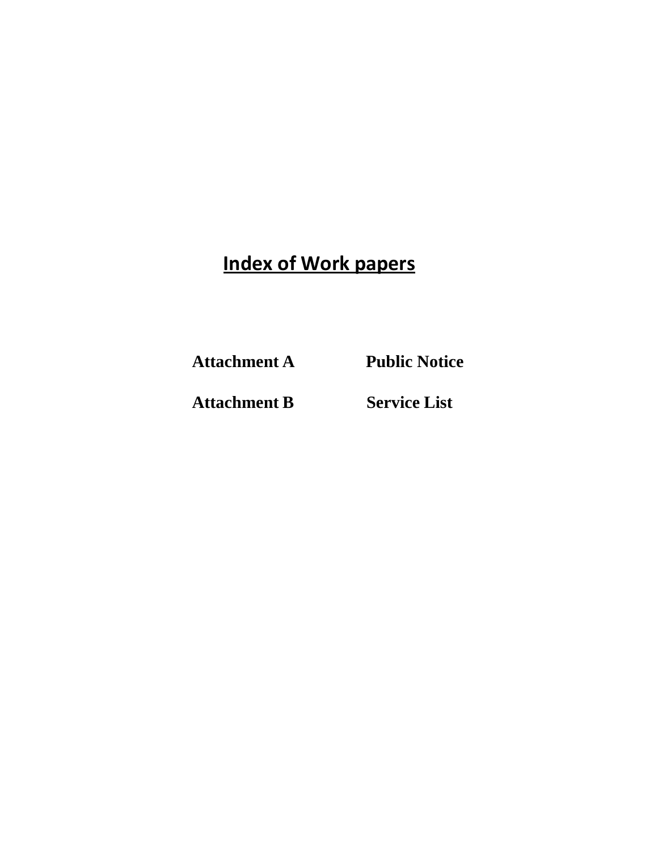# **Index of Work papers**

**Attachment A Public Notice**

**Attachment B Service List**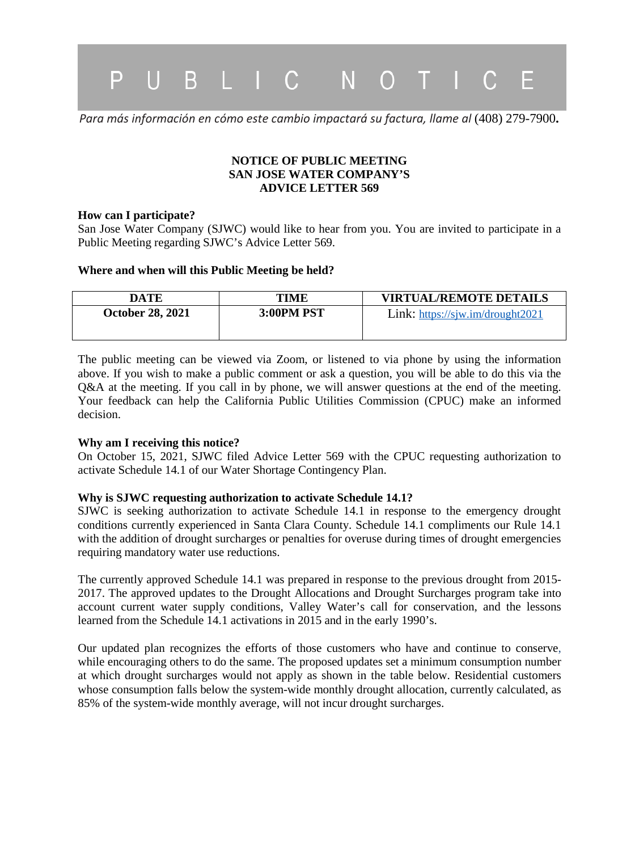

*Para más información en cómo este cambio impactará su factura, llame al* (408) 279-7900**.**

### **NOTICE OF PUBLIC MEETING SAN JOSE WATER COMPANY'S ADVICE LETTER 569**

### **How can I participate?**

San Jose Water Company (SJWC) would like to hear from you. You are invited to participate in a Public Meeting regarding SJWC's Advice Letter 569.

### **Where and when will this Public Meeting be held?**

| DATE                    | TIME       | <b>VIRTUAL/REMOTE DETAILS</b>    |
|-------------------------|------------|----------------------------------|
| <b>October 28, 2021</b> | 3:00PM PST | Link: https://sjw.im/drought2021 |
|                         |            |                                  |

The public meeting can be viewed via Zoom, or listened to via phone by using the information above. If you wish to make a public comment or ask a question, you will be able to do this via the Q&A at the meeting. If you call in by phone, we will answer questions at the end of the meeting. Your feedback can help the California Public Utilities Commission (CPUC) make an informed decision.

### **Why am I receiving this notice?**

On October 15, 2021, SJWC filed Advice Letter 569 with the CPUC requesting authorization to activate Schedule 14.1 of our Water Shortage Contingency Plan.

### **Why is SJWC requesting authorization to activate Schedule 14.1?**

SJWC is seeking authorization to activate Schedule 14.1 in response to the emergency drought conditions currently experienced in Santa Clara County. Schedule 14.1 compliments our Rule 14.1 with the addition of drought surcharges or penalties for overuse during times of drought emergencies requiring mandatory water use reductions.

The currently approved Schedule 14.1 was prepared in response to the previous drought from 2015- 2017. The approved updates to the Drought Allocations and Drought Surcharges program take into account current water supply conditions, Valley Water's call for conservation, and the lessons learned from the Schedule 14.1 activations in 2015 and in the early 1990's.

Our updated plan recognizes the efforts of those customers who have and continue to conserve, while encouraging others to do the same. The proposed updates set a minimum consumption number at which drought surcharges would not apply as shown in the table below. Residential customers whose consumption falls below the system-wide monthly drought allocation, currently calculated, as 85% of the system-wide monthly average, will not incur drought surcharges.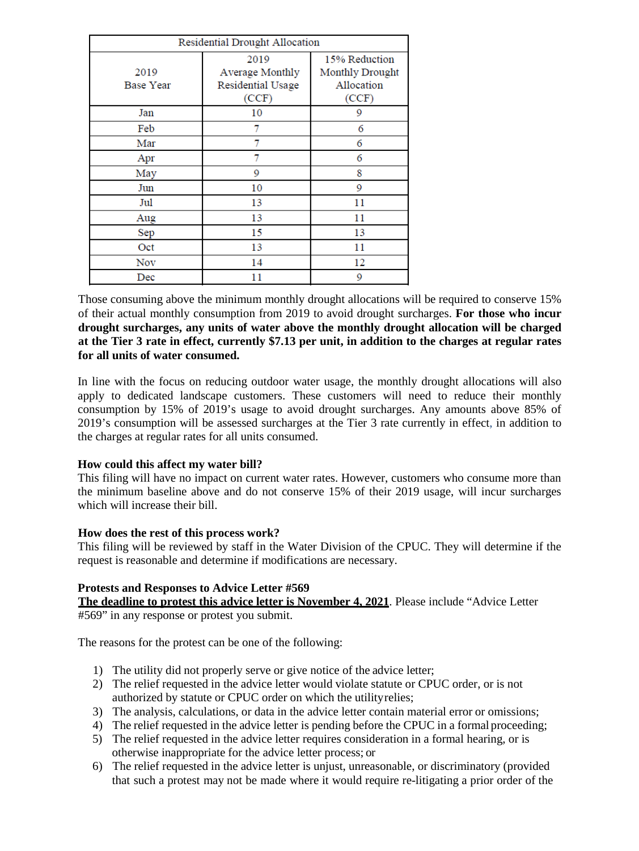| Residential Drought Allocation |                                                              |                                                         |  |
|--------------------------------|--------------------------------------------------------------|---------------------------------------------------------|--|
| 2019<br><b>Base Year</b>       | 2019<br><b>Average Monthly</b><br>Residential Usage<br>(CCF) | 15% Reduction<br>Monthly Drought<br>Allocation<br>(CCF) |  |
| Jan                            | 10                                                           | 9                                                       |  |
| Feb                            | 7                                                            | 6                                                       |  |
| Mar                            | 7                                                            | 6                                                       |  |
| Apr                            | 7                                                            | 6                                                       |  |
| May                            | 9                                                            | 8                                                       |  |
| Jun                            | 10                                                           | 9                                                       |  |
| Jul                            | 13                                                           | 11                                                      |  |
| Aug                            | 13                                                           | 11                                                      |  |
| Sep                            | 15                                                           | 13                                                      |  |
| Oct                            | 13                                                           | 11                                                      |  |
| Nov                            | 14                                                           | 12                                                      |  |
| Dec                            | 11                                                           | 9                                                       |  |

Those consuming above the minimum monthly drought allocations will be required to conserve 15% of their actual monthly consumption from 2019 to avoid drought surcharges. **For those who incur drought surcharges, any units of water above the monthly drought allocation will be charged at the Tier 3 rate in effect, currently \$7.13 per unit, in addition to the charges at regular rates for all units of water consumed.**

In line with the focus on reducing outdoor water usage, the monthly drought allocations will also apply to dedicated landscape customers. These customers will need to reduce their monthly consumption by 15% of 2019's usage to avoid drought surcharges. Any amounts above 85% of 2019's consumption will be assessed surcharges at the Tier 3 rate currently in effect, in addition to the charges at regular rates for all units consumed.

### **How could this affect my water bill?**

This filing will have no impact on current water rates. However, customers who consume more than the minimum baseline above and do not conserve 15% of their 2019 usage, will incur surcharges which will increase their bill.

### **How does the rest of this process work?**

This filing will be reviewed by staff in the Water Division of the CPUC. They will determine if the request is reasonable and determine if modifications are necessary.

### **Protests and Responses to Advice Letter #569**

**The deadline to protest this advice letter is November 4, 2021**. Please include "Advice Letter #569" in any response or protest you submit.

The reasons for the protest can be one of the following:

- 1) The utility did not properly serve or give notice of the advice letter;
- 2) The relief requested in the advice letter would violate statute or CPUC order, or is not authorized by statute or CPUC order on which the utilityrelies;
- 3) The analysis, calculations, or data in the advice letter contain material error or omissions;
- 4) The relief requested in the advice letter is pending before the CPUC in a formal proceeding;
- 5) The relief requested in the advice letter requires consideration in a formal hearing, or is otherwise inappropriate for the advice letter process; or
- 6) The relief requested in the advice letter is unjust, unreasonable, or discriminatory (provided that such a protest may not be made where it would require re-litigating a prior order of the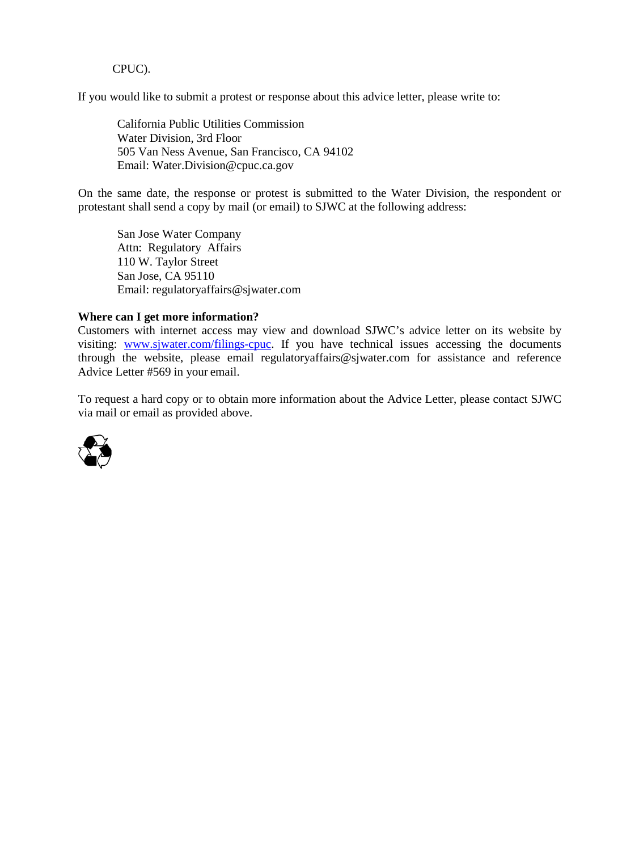CPUC).

If you would like to submit a protest or response about this advice letter, please write to:

California Public Utilities Commission Water Division, 3rd Floor 505 Van Ness Avenue, San Francisco, CA 94102 Email: [Water.Division@cpuc.ca.gov](mailto:Water.Division@cpuc.ca.gov)

On the same date, the response or protest is submitted to the Water Division, the respondent or protestant shall send a copy by mail (or email) to SJWC at the following address:

San Jose Water Company Attn: Regulatory Affairs 110 W. Taylor Street San Jose, CA 95110 Email: [regulatoryaffairs@sjwater.com](mailto:regulatoryaffairs@sjwater.com)

### **Where can I get more information?**

Customers with internet access may view and download SJWC's advice letter on its website by visiting: [www.sjwater.com/filings-cpuc.](http://www.sjwater.com/filings-cpuc) If you have technical issues accessing the documents through the website, please email [regulatoryaffairs@sjwater.com](mailto:regulatoryaffairs@sjwater.com) for assistance and reference Advice Letter #569 in your email.

To request a hard copy or to obtain more information about the Advice Letter, please contact SJWC via mail or email as provided above.

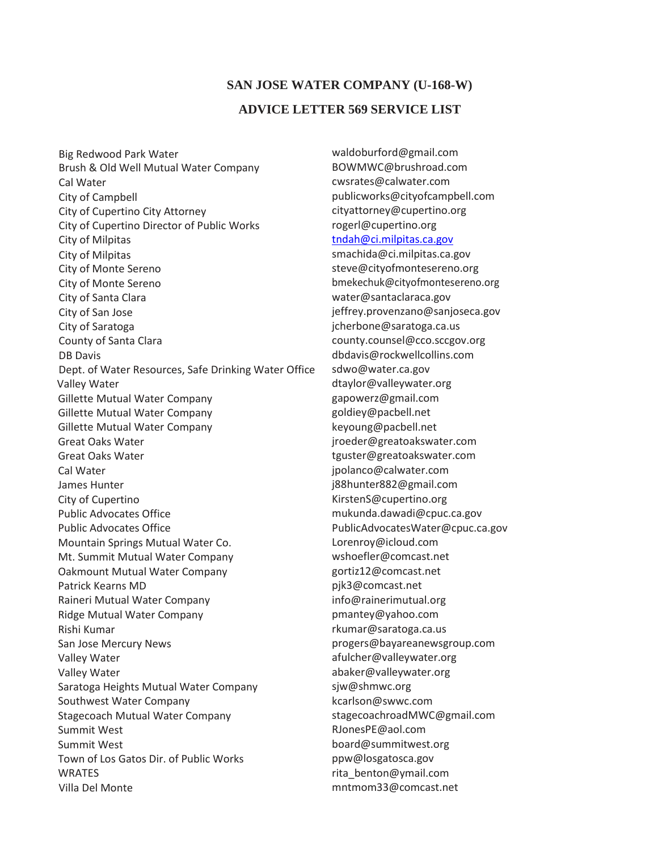## **SAN JOSE WATER COMPANY (U-168-W) ADVICE LETTER 569 SERVICE LIST**

Big Redwood Park Water Brush & Old Well Mutual Water Company Cal Water City of Campbell City of Cupertino City Attorney City of Cupertino Director of Public Works City of Milpitas City of Milpitas City of Monte Sereno City of Monte Sereno City of Santa Clara City of San Jose City of Saratoga County of Santa Clara DB Davis Dept. of Water Resources, Safe Drinking Water Office Valley Water Gillette Mutual Water Company Gillette Mutual Water Company Gillette Mutual Water Company Great Oaks Water Great Oaks Water Cal Water James Hunter City of Cupertino Public Advocates Office Public Advocates Office Mountain Springs Mutual Water Co. Mt. Summit Mutual Water Company Oakmount Mutual Water Company Patrick Kearns MD Raineri Mutual Water Company Ridge Mutual Water Company Rishi Kumar San Jose Mercury News Valley Water Valley Water Saratoga Heights Mutual Water Company Southwest Water Company Stagecoach Mutual Water Company Summit West Summit West Town of Los Gatos Dir. of Public Works **WRATES** Villa Del Monte

[waldoburford@gmail.com](mailto:waldoburford@gmail.com) [BOWMWC@brushroad.com](mailto:BOWMWC@brushroad.com) [cwsrates@calwater.com](mailto:cwsrates@calwater.com) [publicworks@cityofcampbell.com](mailto:publicworks@cityofcampbell.com) [cityattorney@cupertino.org](mailto:cityattorney@cupertino.org) [rogerl@cupertino.org](mailto:rogerl@cupertino.org) [tndah@ci.milpitas.ca.gov](mailto:tndah@ci.milpitas.ca.gov) [smachida@ci.milpitas.ca.gov](mailto:smachida@ci.milpitas.ca.gov) [steve@cityofmontesereno.org](mailto:terry@cityofmontesereno.org) [bmekechuk@cityofmontesereno.org](mailto:bmekechuk@cityofmontesereno.org) [water@santaclaraca.gov](mailto:water@santaclaraca.gov) [jeffrey.provenzano@sanjoseca.gov](mailto:jeffrey.provenzano@sanjoseca.gov) [jcherbone@saratoga.ca.us](mailto:jcherbone@saratoga.ca.us) [county.counsel@cco.sccgov.org](mailto:county.counsel@cco.sccgov.org) [dbdavis@rockwellcollins.com](mailto:dbdavis@rockwellcollins.com) [sdwo@water.ca.gov](mailto:sdwo@water.ca.gov) [dtaylor@valleywater.org](mailto:dtaylor@valleywater.org) [gapowerz@gmail.com](mailto:gapowerz@gmail.com) [goldiey@pacbell.net](mailto:goldiey@pacbell.net) [keyoung@pacbell.net](mailto:keyoung@pacbell.net) [jroeder@greatoakswater.com](mailto:jroeder@greatoakswater.com) [tguster@greatoakswater.com](mailto:tguster@greatoakswater.com) [jpolanco@calwater.com](mailto:jpolanco@calwater.com) [j88hunter882@gmail.com](mailto:j88hunter882@gmail.com) [KirstenS@cupertino.org](mailto:KirstenS@cupertino.org) [mukunda.dawadi@cpuc.ca.gov](mailto:mukunda.dawadi@cpuc.ca.gov) [PublicAdvocatesWater@cpuc.ca.gov](mailto:PublicAdvocatesWater@cpuc.ca.gov) [Lorenroy@icloud.com](mailto:Lorenroy@icloud.com) [wshoefler@comcast.net](mailto:wshoefler@comcast.net) [gortiz12@comcast.net](mailto:gortiz12@comcast.net) [pjk3@comcast.net](mailto:pjk3@comcast.net) [info@rainerimutual.org](mailto:info@rainerimutual.org) [pmantey@yahoo.com](mailto:pmantey@yahoo.com) [rkumar@saratoga.ca.us](mailto:rkumar@saratoga.ca.us) [progers@bayareanewsgroup.com](mailto:progers@bayareanewsgroup.com) [afulcher@valleywater.org](mailto:afulcher@valleywater.org) [abaker@valleywater.org](mailto:abaker@valleywater.org) [sjw@shmwc.org](mailto:sjw@shmwc.org) [kcarlson@swwc.com](mailto:kcarlson@swwc.com) [stagecoachroadMWC@gmail.com](mailto:stagecoachroadMWC@gmail.com) [RJonesPE@aol.com](mailto:RJonesPE@aol.com) [board@summitwest.org](mailto:board@summitwest.org) [ppw@losgatosca.gov](mailto:ppw@losgatosca.gov) [rita\\_benton@ymail.com](mailto:rita_benton@ymail.com) [mntmom33@comcast.net](mailto:mntmom33@comcast.net)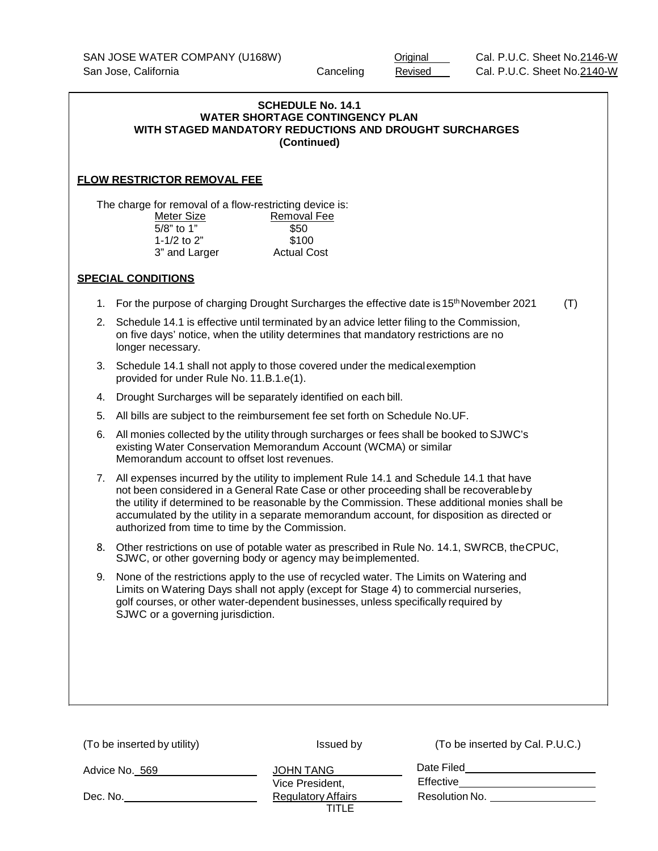### **SCHEDULE No. 14.1 WATER SHORTAGE CONTINGENCY PLAN WITH STAGED MANDATORY REDUCTIONS AND DROUGHT SURCHARGES (Continued)**

### **FLOW RESTRICTOR REMOVAL FEE**

The charge for removal of a flow-restricting device is:<br>Meter Size Removal Fee Removal Fee<br>\$50 5/8" to 1" \$50<br>1-1/2 to 2" \$100 1-1/2 to 2" \$100<br>3" and Larger \$200 Actual Cost 3" and Larger

#### **SPECIAL CONDITIONS**

1. For the purpose of charging Drought Surcharges the effective date is  $15<sup>th</sup>$  November 2021 (T)

| 2. Schedule 14.1 is effective until terminated by an advice letter filing to the Commission, |
|----------------------------------------------------------------------------------------------|
| on five days' notice, when the utility determines that mandatory restrictions are no         |
| longer necessary.                                                                            |

- 3. Schedule 14.1 shall not apply to those covered under the medicalexemption provided for under Rule No. 11.B.1.e(1).
- 4. Drought Surcharges will be separately identified on each bill.
- 5. All bills are subject to the reimbursement fee set forth on Schedule No.UF.
- 6. All monies collected by the utility through surcharges or fees shall be booked to SJWC's existing Water Conservation Memorandum Account (WCMA) or similar Memorandum account to offset lost revenues.
- 7. All expenses incurred by the utility to implement Rule 14.1 and Schedule 14.1 that have not been considered in a General Rate Case or other proceeding shall be recoverableby the utility if determined to be reasonable by the Commission. These additional monies shall be accumulated by the utility in a separate memorandum account, for disposition as directed or authorized from time to time by the Commission.
- 8. Other restrictions on use of potable water as prescribed in Rule No. 14.1, SWRCB, theCPUC, SJWC, or other governing body or agency may beimplemented.
- 9. None of the restrictions apply to the use of recycled water. The Limits on Watering and Limits on Watering Days shall not apply (except for Stage 4) to commercial nurseries, golf courses, or other water-dependent businesses, unless specifically required by SJWC or a governing jurisdiction.

| (To be inserted by utility) | Issued by                          | (To be inserted by Cal. P.U.C.) |
|-----------------------------|------------------------------------|---------------------------------|
| Advice No. 569              | JOHN TANG<br>Vice President,       | Date Filed<br>Effective         |
| Dec. No.                    | <b>Regulatory Affairs</b><br>TITLE | Resolution No.                  |